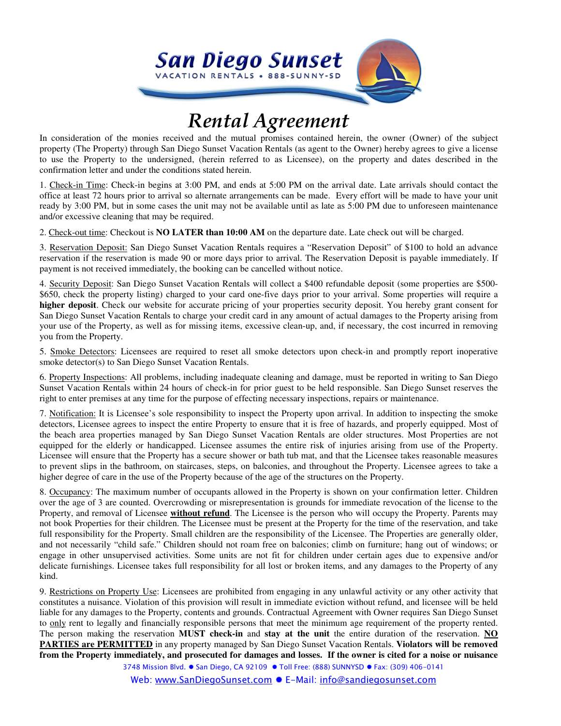

## Rental Agreement

In consideration of the monies received and the mutual promises contained herein, the owner (Owner) of the subject property (The Property) through San Diego Sunset Vacation Rentals (as agent to the Owner) hereby agrees to give a license to use the Property to the undersigned, (herein referred to as Licensee), on the property and dates described in the confirmation letter and under the conditions stated herein.

1. Check-in Time: Check-in begins at 3:00 PM, and ends at 5:00 PM on the arrival date. Late arrivals should contact the office at least 72 hours prior to arrival so alternate arrangements can be made. Every effort will be made to have your unit ready by 3:00 PM, but in some cases the unit may not be available until as late as 5:00 PM due to unforeseen maintenance and/or excessive cleaning that may be required.

2. Check-out time: Checkout is **NO LATER than 10:00 AM** on the departure date. Late check out will be charged.

3. Reservation Deposit: San Diego Sunset Vacation Rentals requires a "Reservation Deposit" of \$100 to hold an advance reservation if the reservation is made 90 or more days prior to arrival. The Reservation Deposit is payable immediately. If payment is not received immediately, the booking can be cancelled without notice.

4. Security Deposit: San Diego Sunset Vacation Rentals will collect a \$400 refundable deposit (some properties are \$500- \$650, check the property listing) charged to your card one-five days prior to your arrival. Some properties will require a **higher deposit**. Check our website for accurate pricing of your properties security deposit. You hereby grant consent for San Diego Sunset Vacation Rentals to charge your credit card in any amount of actual damages to the Property arising from your use of the Property, as well as for missing items, excessive clean-up, and, if necessary, the cost incurred in removing you from the Property.

5. Smoke Detectors: Licensees are required to reset all smoke detectors upon check-in and promptly report inoperative smoke detector(s) to San Diego Sunset Vacation Rentals.

6. Property Inspections: All problems, including inadequate cleaning and damage, must be reported in writing to San Diego Sunset Vacation Rentals within 24 hours of check-in for prior guest to be held responsible. San Diego Sunset reserves the right to enter premises at any time for the purpose of effecting necessary inspections, repairs or maintenance.

7. Notification: It is Licensee's sole responsibility to inspect the Property upon arrival. In addition to inspecting the smoke detectors, Licensee agrees to inspect the entire Property to ensure that it is free of hazards, and properly equipped. Most of the beach area properties managed by San Diego Sunset Vacation Rentals are older structures. Most Properties are not equipped for the elderly or handicapped. Licensee assumes the entire risk of injuries arising from use of the Property. Licensee will ensure that the Property has a secure shower or bath tub mat, and that the Licensee takes reasonable measures to prevent slips in the bathroom, on staircases, steps, on balconies, and throughout the Property. Licensee agrees to take a higher degree of care in the use of the Property because of the age of the structures on the Property.

8. Occupancy: The maximum number of occupants allowed in the Property is shown on your confirmation letter. Children over the age of 3 are counted. Overcrowding or misrepresentation is grounds for immediate revocation of the license to the Property, and removal of Licensee **without refund**. The Licensee is the person who will occupy the Property. Parents may not book Properties for their children. The Licensee must be present at the Property for the time of the reservation, and take full responsibility for the Property. Small children are the responsibility of the Licensee. The Properties are generally older, and not necessarily "child safe." Children should not roam free on balconies; climb on furniture; hang out of windows; or engage in other unsupervised activities. Some units are not fit for children under certain ages due to expensive and/or delicate furnishings. Licensee takes full responsibility for all lost or broken items, and any damages to the Property of any kind.

9. Restrictions on Property Use: Licensees are prohibited from engaging in any unlawful activity or any other activity that constitutes a nuisance. Violation of this provision will result in immediate eviction without refund, and licensee will be held liable for any damages to the Property, contents and grounds. Contractual Agreement with Owner requires San Diego Sunset to only rent to legally and financially responsible persons that meet the minimum age requirement of the property rented. The person making the reservation **MUST check-in** and **stay at the unit** the entire duration of the reservation. **NO PARTIES are PERMITTED** in any property managed by San Diego Sunset Vacation Rentals. **Violators will be removed from the Property immediately, and prosecuted for damages and losses. If the owner is cited for a noise or nuisance** 

3748 Mission Blvd. \* San Diego, CA 92109 \* Toll Free: (888) SUNNYSD \* Fax: (309) 406-0141 Web: www.SanDiegoSunset.com • E-Mail: info@sandiegosunset.com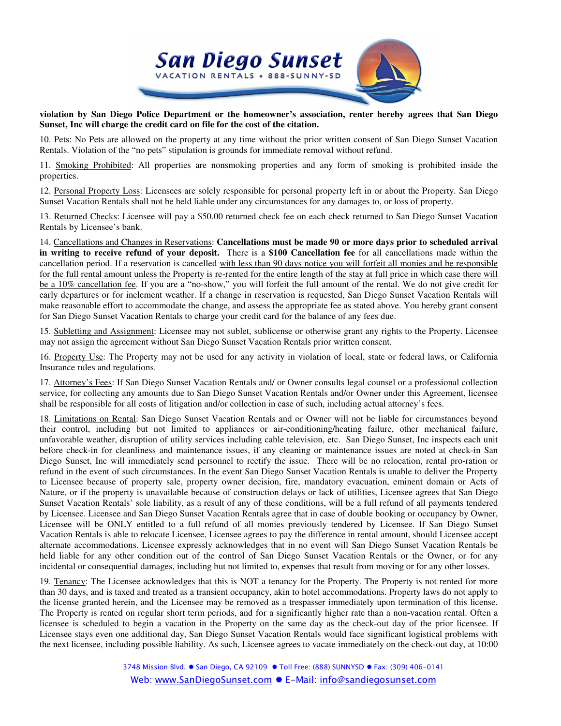

**violation by San Diego Police Department or the homeowner's association, renter hereby agrees that San Diego Sunset, Inc will charge the credit card on file for the cost of the citation.** 

10. Pets: No Pets are allowed on the property at any time without the prior written consent of San Diego Sunset Vacation Rentals. Violation of the "no pets" stipulation is grounds for immediate removal without refund.

11. Smoking Prohibited: All properties are nonsmoking properties and any form of smoking is prohibited inside the properties.

12. Personal Property Loss: Licensees are solely responsible for personal property left in or about the Property. San Diego Sunset Vacation Rentals shall not be held liable under any circumstances for any damages to, or loss of property.

13. Returned Checks: Licensee will pay a \$50.00 returned check fee on each check returned to San Diego Sunset Vacation Rentals by Licensee's bank.

14. Cancellations and Changes in Reservations: **Cancellations must be made 90 or more days prior to scheduled arrival in writing to receive refund of your deposit.** There is a **\$100 Cancellation fee** for all cancellations made within the cancellation period. If a reservation is cancelled with less than 90 days notice you will forfeit all monies and be responsible for the full rental amount unless the Property is re-rented for the entire length of the stay at full price in which case there will be a 10% cancellation fee. If you are a "no-show," you will forfeit the full amount of the rental. We do not give credit for early departures or for inclement weather. If a change in reservation is requested, San Diego Sunset Vacation Rentals will make reasonable effort to accommodate the change, and assess the appropriate fee as stated above. You hereby grant consent for San Diego Sunset Vacation Rentals to charge your credit card for the balance of any fees due.

15. Subletting and Assignment: Licensee may not sublet, sublicense or otherwise grant any rights to the Property. Licensee may not assign the agreement without San Diego Sunset Vacation Rentals prior written consent.

16. Property Use: The Property may not be used for any activity in violation of local, state or federal laws, or California Insurance rules and regulations.

17. Attorney's Fees: If San Diego Sunset Vacation Rentals and/ or Owner consults legal counsel or a professional collection service, for collecting any amounts due to San Diego Sunset Vacation Rentals and/or Owner under this Agreement, licensee shall be responsible for all costs of litigation and/or collection in case of such, including actual attorney's fees.

18. Limitations on Rental: San Diego Sunset Vacation Rentals and or Owner will not be liable for circumstances beyond their control, including but not limited to appliances or air-conditioning/heating failure, other mechanical failure, unfavorable weather, disruption of utility services including cable television, etc. San Diego Sunset, Inc inspects each unit before check-in for cleanliness and maintenance issues, if any cleaning or maintenance issues are noted at check-in San Diego Sunset, Inc will immediately send personnel to rectify the issue. There will be no relocation, rental pro-ration or refund in the event of such circumstances. In the event San Diego Sunset Vacation Rentals is unable to deliver the Property to Licensee because of property sale, property owner decision, fire, mandatory evacuation, eminent domain or Acts of Nature, or if the property is unavailable because of construction delays or lack of utilities, Licensee agrees that San Diego Sunset Vacation Rentals' sole liability, as a result of any of these conditions, will be a full refund of all payments tendered by Licensee. Licensee and San Diego Sunset Vacation Rentals agree that in case of double booking or occupancy by Owner, Licensee will be ONLY entitled to a full refund of all monies previously tendered by Licensee. If San Diego Sunset Vacation Rentals is able to relocate Licensee, Licensee agrees to pay the difference in rental amount, should Licensee accept alternate accommodations. Licensee expressly acknowledges that in no event will San Diego Sunset Vacation Rentals be held liable for any other condition out of the control of San Diego Sunset Vacation Rentals or the Owner, or for any incidental or consequential damages, including but not limited to, expenses that result from moving or for any other losses.

19. Tenancy: The Licensee acknowledges that this is NOT a tenancy for the Property. The Property is not rented for more than 30 days, and is taxed and treated as a transient occupancy, akin to hotel accommodations. Property laws do not apply to the license granted herein, and the Licensee may be removed as a trespasser immediately upon termination of this license. The Property is rented on regular short term periods, and for a significantly higher rate than a non-vacation rental. Often a licensee is scheduled to begin a vacation in the Property on the same day as the check-out day of the prior licensee. If Licensee stays even one additional day, San Diego Sunset Vacation Rentals would face significant logistical problems with the next licensee, including possible liability. As such, Licensee agrees to vacate immediately on the check-out day, at 10:00